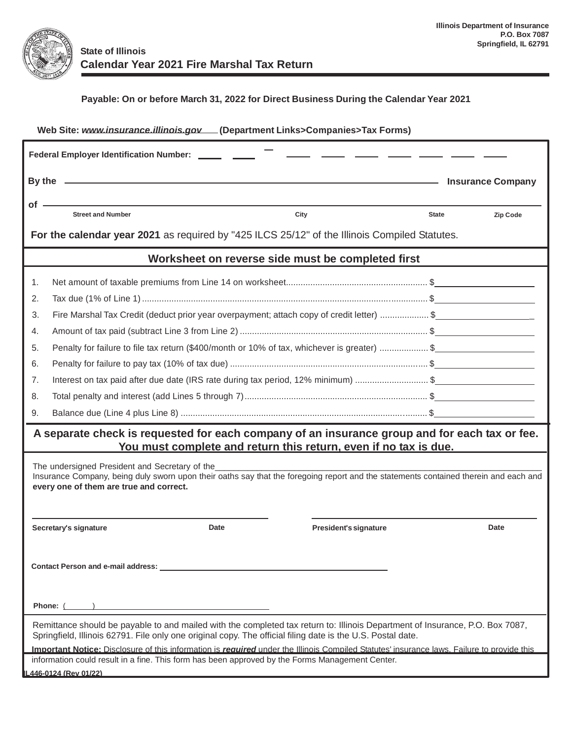

## **Payable: On or before March 31, 2022 for Direct Business During the Calendar Year 2021**

| Web Site: www.insurance.illinois.gov.[Department Links>Companies>Tax Forms)                                                                                                                                                                  |                                                                                                                                                                                                                                |                                                   |                          |          |  |  |  |  |  |
|----------------------------------------------------------------------------------------------------------------------------------------------------------------------------------------------------------------------------------------------|--------------------------------------------------------------------------------------------------------------------------------------------------------------------------------------------------------------------------------|---------------------------------------------------|--------------------------|----------|--|--|--|--|--|
| Federal Employer Identification Number: ______ ____                                                                                                                                                                                          |                                                                                                                                                                                                                                |                                                   |                          |          |  |  |  |  |  |
|                                                                                                                                                                                                                                              | By the contract of the contract of the contract of the contract of the contract of the contract of the contract of the contract of the contract of the contract of the contract of the contract of the contract of the contrac | <u> 1989 - Johann Barn, mars et al. (b. 1989)</u> | <b>Insurance Company</b> |          |  |  |  |  |  |
| of -                                                                                                                                                                                                                                         |                                                                                                                                                                                                                                |                                                   |                          |          |  |  |  |  |  |
|                                                                                                                                                                                                                                              | <b>Street and Number</b>                                                                                                                                                                                                       | City                                              | <b>State</b>             | Zip Code |  |  |  |  |  |
| For the calendar year 2021 as required by "425 ILCS 25/12" of the Illinois Compiled Statutes.                                                                                                                                                |                                                                                                                                                                                                                                |                                                   |                          |          |  |  |  |  |  |
| Worksheet on reverse side must be completed first                                                                                                                                                                                            |                                                                                                                                                                                                                                |                                                   |                          |          |  |  |  |  |  |
| 1.                                                                                                                                                                                                                                           |                                                                                                                                                                                                                                |                                                   |                          |          |  |  |  |  |  |
| 2.                                                                                                                                                                                                                                           |                                                                                                                                                                                                                                |                                                   |                          |          |  |  |  |  |  |
| 3.                                                                                                                                                                                                                                           | Fire Marshal Tax Credit (deduct prior year overpayment; attach copy of credit letter) \$                                                                                                                                       |                                                   |                          |          |  |  |  |  |  |
| 4.                                                                                                                                                                                                                                           |                                                                                                                                                                                                                                |                                                   |                          |          |  |  |  |  |  |
| 5.                                                                                                                                                                                                                                           | Penalty for failure to file tax return (\$400/month or 10% of tax, whichever is greater) \$                                                                                                                                    |                                                   |                          |          |  |  |  |  |  |
| 6.                                                                                                                                                                                                                                           |                                                                                                                                                                                                                                |                                                   |                          |          |  |  |  |  |  |
| 7.                                                                                                                                                                                                                                           | Interest on tax paid after due date (IRS rate during tax period, 12% minimum) \$                                                                                                                                               |                                                   |                          |          |  |  |  |  |  |
| 8.                                                                                                                                                                                                                                           |                                                                                                                                                                                                                                |                                                   |                          |          |  |  |  |  |  |
| 9.                                                                                                                                                                                                                                           |                                                                                                                                                                                                                                |                                                   |                          |          |  |  |  |  |  |
| A separate check is requested for each company of an insurance group and for each tax or fee.                                                                                                                                                |                                                                                                                                                                                                                                |                                                   |                          |          |  |  |  |  |  |
| You must complete and return this return, even if no tax is due.                                                                                                                                                                             |                                                                                                                                                                                                                                |                                                   |                          |          |  |  |  |  |  |
| The undersigned President and Secretary of the                                                                                                                                                                                               |                                                                                                                                                                                                                                |                                                   |                          |          |  |  |  |  |  |
| Insurance Company, being duly sworn upon their oaths say that the foregoing report and the statements contained therein and each and<br>every one of them are true and correct.                                                              |                                                                                                                                                                                                                                |                                                   |                          |          |  |  |  |  |  |
|                                                                                                                                                                                                                                              |                                                                                                                                                                                                                                |                                                   |                          |          |  |  |  |  |  |
|                                                                                                                                                                                                                                              |                                                                                                                                                                                                                                |                                                   |                          |          |  |  |  |  |  |
| Date<br>Secretary's signature                                                                                                                                                                                                                |                                                                                                                                                                                                                                | President's signature                             |                          | Date     |  |  |  |  |  |
|                                                                                                                                                                                                                                              |                                                                                                                                                                                                                                |                                                   |                          |          |  |  |  |  |  |
|                                                                                                                                                                                                                                              |                                                                                                                                                                                                                                |                                                   |                          |          |  |  |  |  |  |
|                                                                                                                                                                                                                                              |                                                                                                                                                                                                                                |                                                   |                          |          |  |  |  |  |  |
|                                                                                                                                                                                                                                              |                                                                                                                                                                                                                                |                                                   |                          |          |  |  |  |  |  |
| Phone: (                                                                                                                                                                                                                                     |                                                                                                                                                                                                                                |                                                   |                          |          |  |  |  |  |  |
| Remittance should be payable to and mailed with the completed tax return to: Illinois Department of Insurance, P.O. Box 7087,<br>Springfield, Illinois 62791. File only one original copy. The official filing date is the U.S. Postal date. |                                                                                                                                                                                                                                |                                                   |                          |          |  |  |  |  |  |
| Important Notice: Disclosure of this information is required under the Illinois Compiled Statutes' insurance laws. Failure to provide this                                                                                                   |                                                                                                                                                                                                                                |                                                   |                          |          |  |  |  |  |  |
|                                                                                                                                                                                                                                              | information could result in a fine. This form has been approved by the Forms Management Center.                                                                                                                                |                                                   |                          |          |  |  |  |  |  |
|                                                                                                                                                                                                                                              | L446-0124 (Rev 01/22)                                                                                                                                                                                                          |                                                   |                          |          |  |  |  |  |  |